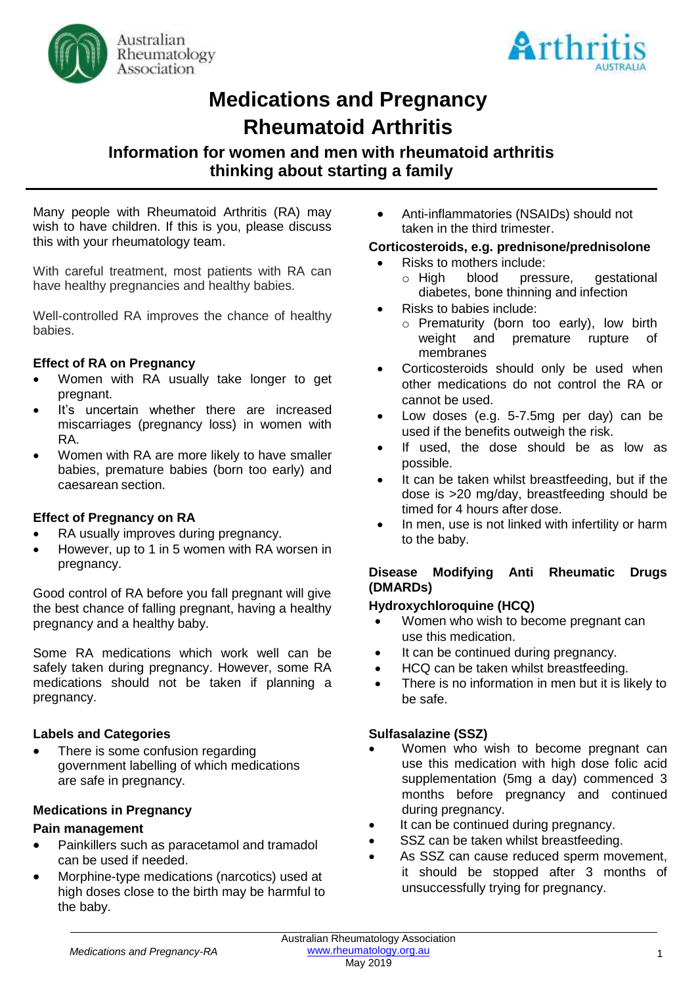



# **Medications and Pregnancy Rheumatoid Arthritis**

# **Information for women and men with rheumatoid arthritis thinking about starting a family**

Many people with Rheumatoid Arthritis (RA) may wish to have children. If this is you, please discuss this with your rheumatology team.

With careful treatment, most patients with RA can have healthy pregnancies and healthy babies.

Well-controlled RA improves the chance of healthy babies.

#### **Effect of RA on Pregnancy**

- Women with RA usually take longer to get pregnant.
- It's uncertain whether there are increased miscarriages (pregnancy loss) in women with RA.
- Women with RA are more likely to have smaller babies, premature babies (born too early) and caesarean section.

#### **Effect of Pregnancy on RA**

- RA usually improves during pregnancy.
- However, up to 1 in 5 women with RA worsen in pregnancy.

Good control of RA before you fall pregnant will give the best chance of falling pregnant, having a healthy pregnancy and a healthy baby.

Some RA medications which work well can be safely taken during pregnancy. However, some RA medications should not be taken if planning a pregnancy.

#### **Labels and Categories**

There is some confusion regarding government labelling of which medications are safe in pregnancy.

#### **Medications in Pregnancy**

#### **Pain management**

- Painkillers such as paracetamol and tramadol can be used if needed.
- Morphine-type medications (narcotics) used at high doses close to the birth may be harmful to the baby.

• Anti-inflammatories (NSAIDs) should not taken in the third trimester.

#### **Corticosteroids, e.g. prednisone/prednisolone**

- - Risks to mothers include:<br>  $\circ$  High blood pressure. qestational diabetes, bone thinning and infection
- Risks to babies include:
	- o Prematurity (born too early), low birth weight and premature rupture of membranes
- Corticosteroids should only be used when other medications do not control the RA or cannot be used.
- Low doses (e.g. 5-7.5mg per day) can be used if the benefits outweigh the risk.
- If used, the dose should be as low as possible.
- It can be taken whilst breastfeeding, but if the dose is >20 mg/day, breastfeeding should be timed for 4 hours after dose.
- In men, use is not linked with infertility or harm to the baby.

#### **Disease Modifying Anti Rheumatic Drugs (DMARDs)**

#### **Hydroxychloroquine (HCQ)**

- Women who wish to become pregnant can use this medication.
- It can be continued during pregnancy.
- HCQ can be taken whilst breastfeeding.
- There is no information in men but it is likely to be safe.

#### **Sulfasalazine (SSZ)**

- Women who wish to become pregnant can use this medication with high dose folic acid supplementation (5mg a day) commenced 3 months before pregnancy and continued during pregnancy.
- It can be continued during pregnancy.
- SSZ can be taken whilst breastfeeding.
- As SSZ can cause reduced sperm movement, it should be stopped after 3 months of unsuccessfully trying for pregnancy.